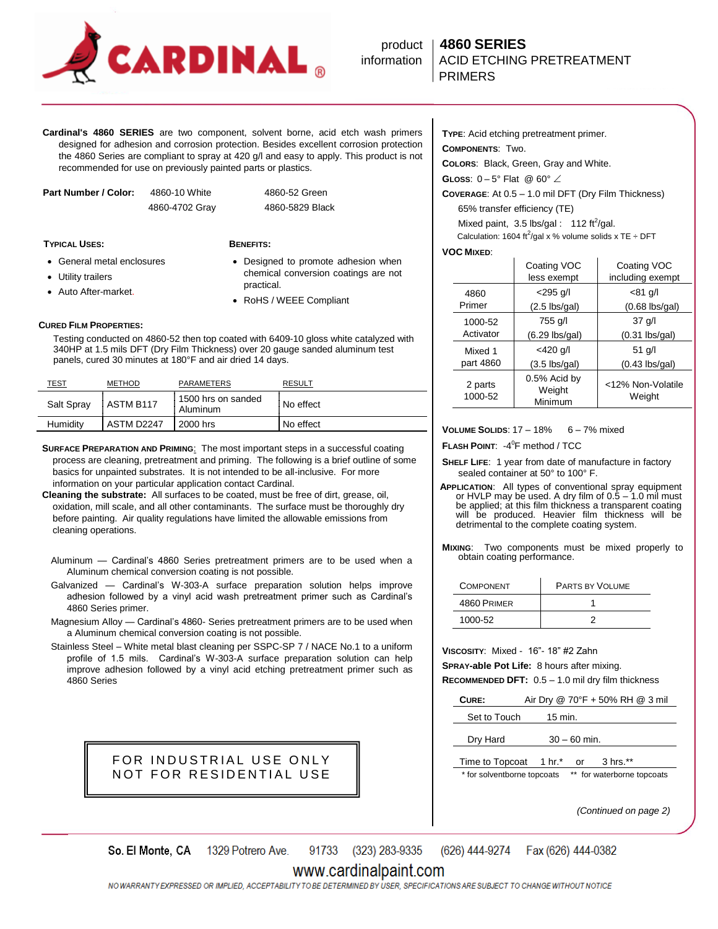

# product **4860 SERIES information | ACID ETCHING PRETREATMENT**

**Cardinal's 4860 SERIES** are two component, solvent borne, acid etch wash primers designed for adhesion and corrosion protection. Besides excellent corrosion protection the 4860 Series are compliant to spray at 420 g/l and easy to apply. This product is not recommended for use on previously painted parts or plastics.

| Part Number / Color: | 4860-10 White  |
|----------------------|----------------|
|                      | 4860-4702 Gray |

**TYPICAL USES: BENEFITS:**

4860-52 Green 4860-4702 Gray 4860-5829 Black

- General metal enclosures Utility trailers
- Designed to promote adhesion when chemical conversion coatings are not practical.
- RoHS / WEEE Compliant

#### **CURED FILM PROPERTIES:**

Auto After-market.

 Testing conducted on 4860-52 then top coated with 6409-10 gloss white catalyzed with 340HP at 1.5 mils DFT (Dry Film Thickness) over 20 gauge sanded aluminum test panels, cured 30 minutes at 180°F and air dried 14 days.

| TEST       | <b>METHOD</b> | PARAMETERS                       | <b>RESULT</b> |
|------------|---------------|----------------------------------|---------------|
| Salt Spray | ASTM B117     | 1500 hrs on sanded<br>: Aluminum | No effect     |
| Humidity   | ASTM D2247    | 2000 hrs                         | No effect     |

**SURFACE PREPARATION AND PRIMING**: The most important steps in a successful coating process are cleaning, pretreatment and priming. The following is a brief outline of some basics for unpainted substrates. It is not intended to be all-inclusive. For more information on your particular application contact Cardinal.

**Cleaning the substrate:** All surfaces to be coated, must be free of dirt, grease, oil, oxidation, mill scale, and all other contaminants. The surface must be thoroughly dry before painting. Air quality regulations have limited the allowable emissions from cleaning operations.

- Aluminum Cardinal's 4860 Series pretreatment primers are to be used when a Aluminum chemical conversion coating is not possible.
- Galvanized Cardinal's W-303-A surface preparation solution helps improve adhesion followed by a vinyl acid wash pretreatment primer such as Cardinal's 4860 Series primer.

Magnesium Alloy — Cardinal's 4860- Series pretreatment primers are to be used when a Aluminum chemical conversion coating is not possible.

Stainless Steel – White metal blast cleaning per SSPC-SP 7 / NACE No.1 to a uniform profile of 1.5 mils. Cardinal's W-303-A surface preparation solution can help improve adhesion followed by a vinyl acid etching pretreatment primer such as 4860 Series

### FOR INDUSTRIAL USE ONLY NOT FOR RESIDENTIAL USE

**TYPE**: Acid etching pretreatment primer.

**COMPONENTS**: Two.

**COLORS**: Black, Green, Gray and White.

**GLOSS:**  $0-5^{\circ}$  Flat @  $60^{\circ}$   $\angle$ 

**COVERAGE**: At 0.5 – 1.0 mil DFT (Dry Film Thickness) 65% transfer efficiency (TE)

Mixed paint,  $3.5$  lbs/gal : 112 ft<sup>2</sup>/gal.

Calculation: 1604 ft<sup>2</sup>/gal x % volume solids x TE ÷ DFT

### **VOC MIXED**:

|                    | Coating VOC<br>less exempt        | Coating VOC<br>including exempt |
|--------------------|-----------------------------------|---------------------------------|
| 4860               | $<$ 295 q/l                       | $< 81$ g/l                      |
| Primer             | $(2.5 \text{ lbs/gal})$           | $(0.68$ lbs/gal)                |
| 1000-52            | 755 g/l                           | $37$ $q/l$                      |
| Activator          | $(6.29$ lbs/gal)                  | $(0.31$ lbs/gal)                |
| Mixed 1            | <420 g/l                          | $51$ q/l                        |
| part 4860          | $(3.5 \text{ lbs/gal})$           | $(0.43$ lbs/gal)                |
| 2 parts<br>1000-52 | 0.5% Acid by<br>Weight<br>Minimum | <12% Non-Volatile<br>Weight     |

**VOLUME SOLIDS**: 17 – 18% 6 – 7% mixed

**FLASH POINT: -4<sup>0</sup>F method / TCC** 

**SHELF LIFE**: 1 year from date of manufacture in factory sealed container at 50° to 100° F.

**APPLICATION**: All types of conventional spray equipment or HVLP may be used. A dry film of  $0.5 - 1.0$  mil must be applied; at this film thickness a transparent coating will be produced. Heavier film thickness will be detrimental to the complete coating system.

**MIXING**: Two components must be mixed properly to obtain coating performance.

| <b>COMPONENT</b> | <b>PARTS BY VOLUME</b> |
|------------------|------------------------|
| 4860 PRIMER      |                        |
| 1000-52          |                        |

**VISCOSITY**: Mixed - 16"- 18" #2 Zahn

**SPRAY-able Pot Life:** 8 hours after mixing.

**RECOMMENDED DFT:** 0.5 – 1.0 mil dry film thickness

| CURE:                       |                | Air Dry @ 70°F + 50% RH @ 3 mil |  |
|-----------------------------|----------------|---------------------------------|--|
| Set to Touch                | $15$ min.      |                                 |  |
| Dry Hard                    | $30 - 60$ min. |                                 |  |
| Time to Topcoat 1 hr.* or   |                | 3 hrs.**                        |  |
| * for solventborne topcoats |                | ** for waterborne topcoats      |  |

*(Continued on page 2)*

1329 Potrero Ave. 91733 (323) 283-9335 (626) 444-9274 Fax (626) 444-0382 So. El Monte, CA

### www.cardinalpaint.com

NOWARRANTY EXPRESSED OR IMPLIED, ACCEPTABILITY TO BE DETERMINED BY USER, SPECIFICATIONS ARE SUBJECT TO CHANGE WITHOUT NOTICE